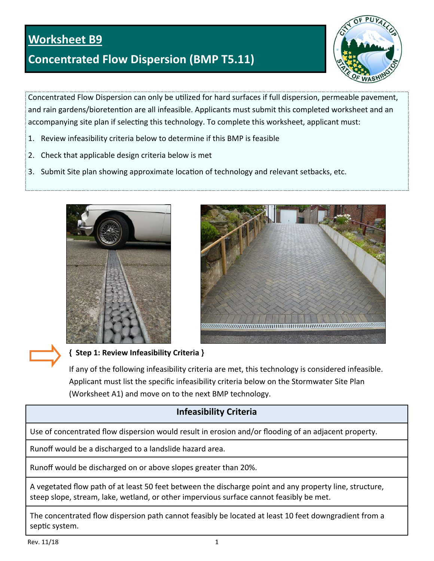## **Worksheet B9**

# **Concentrated Flow Dispersion (BMP T5.11)**



Concentrated Flow Dispersion can only be utilized for hard surfaces if full dispersion, permeable pavement, and rain gardens/bioretention are all infeasible. Applicants must submit this completed worksheet and an accompanying site plan if selecting this technology. To complete this worksheet, applicant must:

- 1. Review infeasibility criteria below to determine if this BMP is feasible
- 2. Check that applicable design criteria below is met
- 3. Submit Site plan showing approximate location of technology and relevant setbacks, etc.





#### **{ Step 1: Review Infeasibility Criteria }**

If any of the following infeasibility criteria are met, this technology is considered infeasible. Applicant must list the specific infeasibility criteria below on the Stormwater Site Plan (Worksheet A1) and move on to the next BMP technology.

## **Infeasibility Criteria**

Use of concentrated flow dispersion would result in erosion and/or flooding of an adjacent property.

Runoff would be a discharged to a landslide hazard area.

Runoff would be discharged on or above slopes greater than 20%.

A vegetated flow path of at least 50 feet between the discharge point and any property line, structure, steep slope, stream, lake, wetland, or other impervious surface cannot feasibly be met.

The concentrated flow dispersion path cannot feasibly be located at least 10 feet downgradient from a septic system.